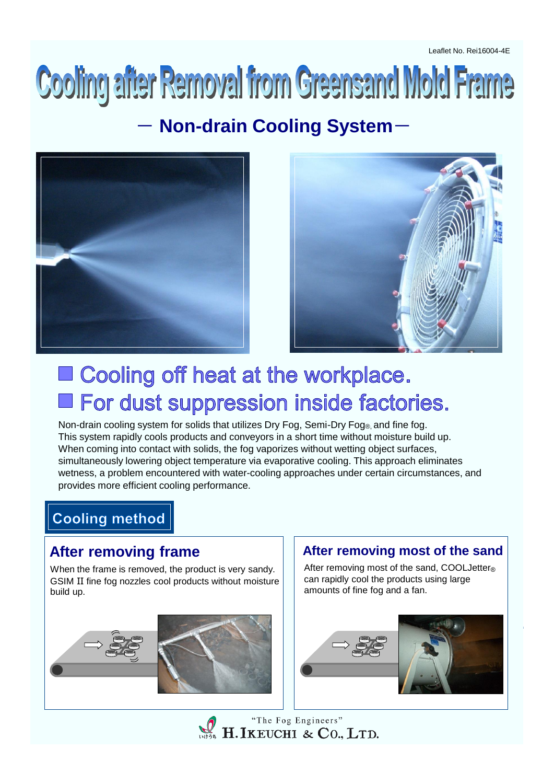# Cooling after Removal from Greensand Mold Frame

## **Non-drain Cooling System-**





# ■ Cooling off heat at the workplace. **E** For dust suppression inside factories.

Non-drain cooling system for solids that utilizes Dry Fog, Semi-Dry Fog®, and fine fog. This system rapidly cools products and conveyors in a short time without moisture build up. When coming into contact with solids, the fog vaporizes without wetting object surfaces, simultaneously lowering object temperature via evaporative cooling. This approach eliminates wetness, a problem encountered with water-cooling approaches under certain circumstances, and provides more efficient cooling performance.

# **Cooling method**

#### **After removing frame**

When the frame is removed, the product is very sandy. GSIM II fine fog nozzles cool products without moisture build up.

#### **After removing most of the sand**

After removing most of the sand, COOLJetter<sup>®</sup> can rapidly cool the products using large amounts of fine fog and a fan.